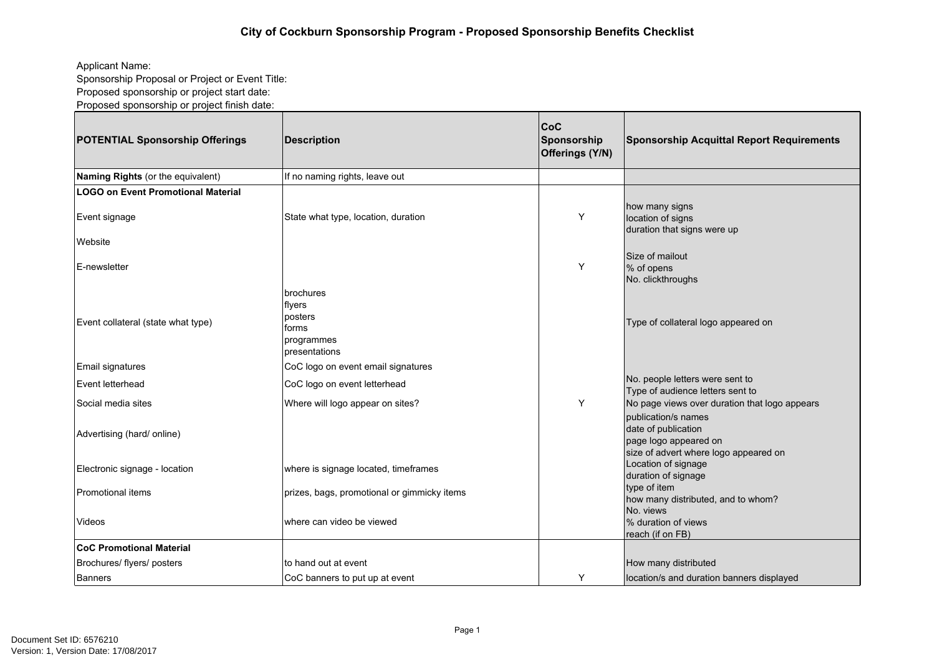## Applicant Name:

Sponsorship Proposal or Project or Event Title:

Proposed sponsorship or project start date:

Proposed sponsorship or project finish date:

| <b>POTENTIAL Sponsorship Offerings</b> | Description                                                              | $ {\sf CoC} $<br>Sponsorship<br>Offerings (Y/N) | <b>Sponsorship Acquittal Report Requirements</b>                                                             |
|----------------------------------------|--------------------------------------------------------------------------|-------------------------------------------------|--------------------------------------------------------------------------------------------------------------|
| Naming Rights (or the equivalent)      | If no naming rights, leave out                                           |                                                 |                                                                                                              |
| LOGO on Event Promotional Material     |                                                                          |                                                 |                                                                                                              |
| Event signage                          | State what type, location, duration                                      | Y                                               | how many signs<br>location of signs<br>duration that signs were up                                           |
| Website                                |                                                                          |                                                 |                                                                                                              |
| IE-newsletter                          |                                                                          | Y                                               | Size of mailout<br>% of opens<br>No. clickthroughs                                                           |
| Event collateral (state what type)     | brochures<br> flyers<br>posters<br>forms<br>programmes<br>Ipresentations |                                                 | Type of collateral logo appeared on                                                                          |
| Email signatures                       | CoC logo on event email signatures                                       |                                                 |                                                                                                              |
| Event letterhead                       | CoC logo on event letterhead                                             |                                                 | No. people letters were sent to<br>Type of audience letters sent to                                          |
| Social media sites                     | Where will logo appear on sites?                                         | Y                                               | No page views over duration that logo appears                                                                |
| Advertising (hard/ online)             |                                                                          |                                                 | publication/s names<br>date of publication<br>page logo appeared on<br>size of advert where logo appeared on |
| Electronic signage - location          | where is signage located, timeframes                                     |                                                 | Location of signage<br>duration of signage                                                                   |
| <b>IPromotional items</b>              | prizes, bags, promotional or gimmicky items                              |                                                 | type of item<br>how many distributed, and to whom?<br>No. views                                              |
| Videos                                 | where can video be viewed                                                |                                                 | % duration of views<br>reach (if on FB)                                                                      |
| <b>CoC Promotional Material</b>        |                                                                          |                                                 |                                                                                                              |
| Brochures/ flyers/ posters             | to hand out at event                                                     |                                                 | How many distributed                                                                                         |
| Banners                                | CoC banners to put up at event                                           | Y                                               | location/s and duration banners displayed                                                                    |